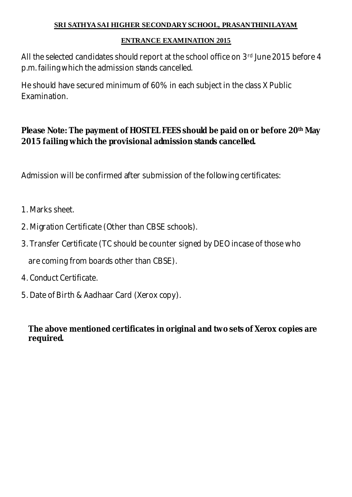# **SRI SATHYA SAI HIGHER SECONDARY SCHOOL, PRASANTHINILAYAM**

# **ENTRANCE EXAMINATION 2015**

All the selected candidates should report at the school office on 3rd June 2015 before 4 p.m. failing which the admission stands cancelled.

He should have secured minimum of 60% in each subject in the class X Public Examination.

**Please Note: The payment of HOSTEL FEES should be paid on or before 20th May 2015 failing which the provisional admission stands cancelled.**

Admission will be confirmed after submission of the following certificates:

- 1. Marks sheet.
- 2. Migration Certificate (Other than CBSE schools).
- 3. Transfer Certificate (TC should be counter signed by DEO incase of those who are coming from boards other than CBSE).
- 4. Conduct Certificate.
- 5. Date of Birth & Aadhaar Card (Xerox copy).

**The above mentioned certificates in original and two sets of Xerox copies are required.**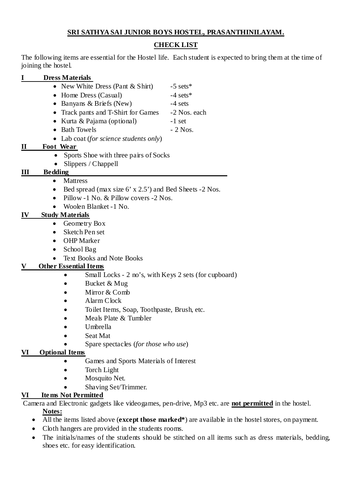#### **SRI SATHYA SAI JUNIOR BOYS HOSTEL, PRASANTHINILAYAM.**

### **CHECK LIST**

The following items are essential for the Hostel life. Each student is expected to bring them at the time of joining the hostel.

# **I Dress Materials**

- New White Dress (Pant & Shirt) -5 sets\*
- Home Dress (Casual) -4 sets\*
- ∑ Banyans & Briefs (New) -4 sets
- Track pants and T-Shirt for Games -2 Nos. each
- ∑ Kurta & Pajama (optional) -1 set
- $\bullet$  Bath Towels  $-2$  Nos.
- ∑ Lab coat (*for science students only*)

# **II Foot Wear**

- ∑ Sports Shoe with three pairs of Socks
- ∑ Slippers / Chappell

#### **III Bedding**

- ∑ Mattress
- Bed spread (max size 6' x 2.5') and Bed Sheets -2 Nos.
- Pillow -1 No. & Pillow covers -2 Nos.
- ∑ Woolen Blanket -1 No.

# **IV Study Materials**

- ∑ Geometry Box
- ∑ Sketch Pen set
- ∑ OHP Marker
- ∑ School Bag
- ∑ Text Books and Note Books

# **V Other Essential Items**

- Small Locks 2 no's, with Keys 2 sets (for cupboard)
- ∑ Bucket & Mug
- ∑ Mirror & Comb
- ∑ Alarm Clock
- ∑ Toilet Items, Soap, Toothpaste, Brush, etc.
- Meals Plate & Tumbler
- ∑ Umbrella
- ∑ Seat Mat
- ∑ Spare spectacles (*for those who use*)

#### **VI Optional Items**

- ∑ Games and Sports Materials of Interest
- Torch Light
- ∑ Mosquito Net.
- ∑ Shaving Set/Trimmer.

# **VI Ite ms Not Permitted**

Camera and Electronic gadgets like videogames, pen-drive, Mp3 etc. are **not permitted** in the hostel. **Notes:**

- ∑ All the items listed above (**except those marked\***) are available in the hostel stores, on payment.
- Cloth hangers are provided in the students rooms.
- The initials/names of the students should be stitched on all items such as dress materials, bedding, shoes etc. for easy identification.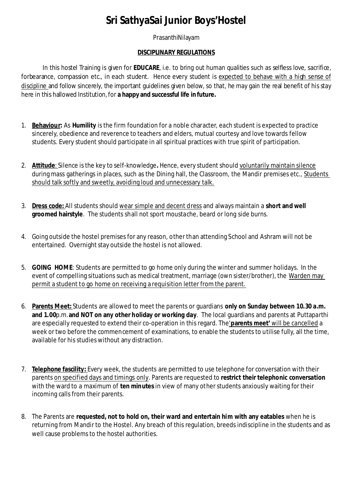# **Sri SathyaSai Junior Boys'Hostel**

#### PrasanthiNilayam

#### **DISCIPLINARY REGULATIONS**

In this hostel Training is given for **EDUCARE**, i.e. to bring out human qualities such as selfless love, sacrifice, forbearance, compassion etc., in each student. Hence every student is expected to behave with a high sense of discipline and follow sincerely, the important guidelines given below, so that, he may gain the real benefit of his stay here in this hallowed Institution, for **a happy and successful life in future.**

- 1. **Behaviour:** As **Humility** is the firm foundation for a noble character, each student is expected to practice sincerely, obedience and reverence to teachers and elders, mutual courtesy and love towards fellow students. Every student should participate in all spiritual practices with true spirit of participation.
- 2. **Attitude**: Silence is the key to self-knowledge**.** Hence, every student should voluntarily maintain silence during mass gatherings in places, such as the Dining hall, the Classroom, the Mandir premises etc., Students should talk softly and sweetly, avoiding loud and unnecessary talk.
- 3. **Dress code:** All students should wear simple and decent dress and always maintain a **short and well groomed hairstyle**. The students shall not sport moustache, beard or long side burns.
- 4. Going outside the hostel premises for any reason, other than attending School and Ashram will not be entertained. Overnight stay outside the hostel is not allowed.
- 5. **GOING HOME**: Students are permitted to go home only during the winter and summer holidays. In the event of compelling situations such as medical treatment, marriage (own sister/brother), the Warden may permit a student to go home on receiving a requisition letter from the parent.
- 6. **Parents Meet:** Students are allowed to meet the parents or guardians **only on Sunday between 10.30 a.m. and 1.00**p.m.**and NOT on any other holiday or working day**. The local guardians and parents at Puttaparthi are especially requested to extend their co-operation in this regard. The'**parents meet'** will be cancelled a week or two before the commencement of examinations, to enable the students to utilise fully, all the time, available for his studies without any distraction.
- 7. **Telephone fascility:** Every week, the students are permitted to use telephone for conversation with their parents on specified days and timings only. Parents are requested to **restrict their telephonic conversation** with the ward to a maximum of **ten minutes** in view of many other students anxiously waiting for their incoming calls from their parents.
- 8. The Parents are **requested, not to hold on, their ward and entertain him with any eatables** when he is returning from Mandir to the Hostel. Any breach of this regulation, breeds indiscipline in the students and as well cause problems to the hostel authorities.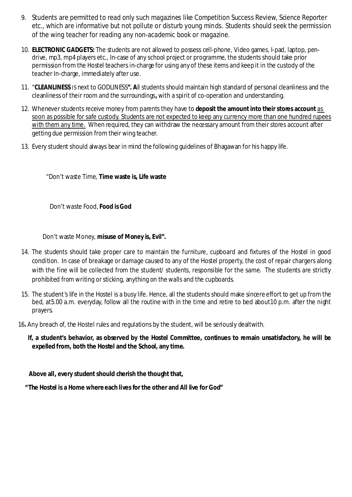- 9. Students are permitted to read only such magazines like Competition Success Review, Science Reporter etc., which are informative but not pollute or disturb young minds. Students should seek the permission of the wing teacher for reading any non-academic book or magazine.
- 10. **ELECTRONIC GADGETS:** The students are not allowed to possess cell-phone, Video games, I-pad, laptop, pendrive, mp3, mp4 players etc., In-case of any school project or programme, the students should take prior permission from the Hostel teachers in-charge for using any of these items and keep it in the custody of the teacher In-charge, immediately after use.
- 11. "**CLEANLINESS** IS next to GODLINESS**". A**ll students should maintain high standard of personal cleanliness and the cleanliness of their room and the surroundings**,** with a spirit of co-operation and understanding.
- 12. Whenever students receive money from parents they have to **deposit the amount into their stores account** as soon as possible for safe custody. Students are not expected to keep any currency more than one hundred rupees with them any time. When required, they can withdraw the necessary amount from their stores account after getting due permission from their wing teacher.
- 13. Every student should always bear in mind the following guidelines of Bhagawan for his happy life.

"Don't waste Time, **Time waste is, Life waste**

Don't waste Food, **Food is God**

Don't waste Money, **misuse of Money is, Evil".**

- 14. The students should take proper care to maintain the furniture, cupboard and fixtures of the Hostel in good condition. In case of breakage or damage caused to any of the Hostel property, the cost of repair chargers along with the fine will be collected from the student/ students, responsible for the same. The students are strictly prohibited from writing or sticking, anything on the walls and the cupboards.
- 15. The student's life in the Hostel is a busy life. Hence, all the students should make sincere effort to get up from the bed, at5.00 a.m. everyday, follow all the routine with in the time and retire to bed about10 p.m. after the night prayers.

16**.** Any breach of, the Hostel rules and regulations by the student, will be seriously dealtwith.

**If, a student's behavior, as observed by the Hostel Committee, continues to remain unsatisfactory, he will be expelled from, both the Hostel and the School, any time.**

**Above all, every student should cherish the thought that,**

**"The Hostel is a Home where each lives for the other and All live for God"**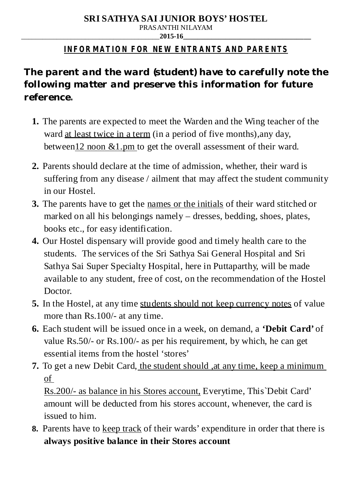# **SRI SATHYA SAI JUNIOR BOYS' HOSTEL**

PRASANTHI NILAYAM

#### \_\_\_\_\_\_\_\_\_\_\_\_\_\_\_\_\_\_\_\_\_\_\_\_\_\_\_\_\_\_\_\_\_\_\_\_\_\_\_**2015-16\_\_\_\_\_\_\_\_\_\_\_\_\_\_\_\_\_\_\_\_\_\_\_\_\_\_\_\_\_\_\_\_\_\_\_\_**

# **INFORMATION FOR NEW ENTRANTS AND PARENTS**

The parent and the ward (student) have to carefully note the *following matter and preserve this information for future reference***.**

- **1.** The parents are expected to meet the Warden and the Wing teacher of the ward at least twice in a term (in a period of five months),any day, between12 noon &1.pm to get the overall assessment of their ward.
- **2.** Parents should declare at the time of admission, whether, their ward is suffering from any disease / ailment that may affect the student community in our Hostel.
- **3.** The parents have to get the names or the initials of their ward stitched or marked on all his belongings namely – dresses, bedding, shoes, plates, books etc., for easy identification.
- **4.** Our Hostel dispensary will provide good and timely health care to the students. The services of the Sri Sathya Sai General Hospital and Sri Sathya Sai Super Specialty Hospital, here in Puttaparthy, will be made available to any student, free of cost, on the recommendation of the Hostel Doctor.
- **5.** In the Hostel, at any time students should not keep currency notes of value more than Rs.100/- at any time.
- **6.** Each student will be issued once in a week, on demand, a **'Debit Card'** of value Rs.50/- or Rs.100/- as per his requirement, by which, he can get essential items from the hostel 'stores'
- **7.** To get a new Debit Card, the student should , at any time, keep a minimum of

Rs.200/- as balance in his Stores account, Everytime, This`Debit Card' amount will be deducted from his stores account, whenever, the card is issued to him.

**8.** Parents have to keep track of their wards' expenditure in order that there is **always positive balance in their Stores account**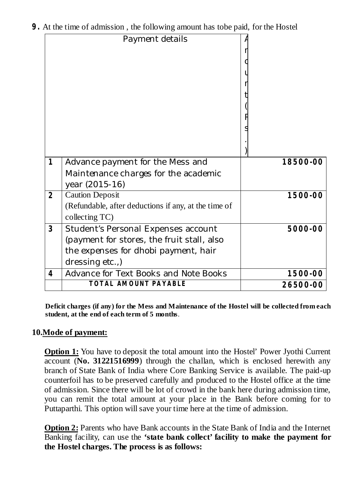|  |  |  | 9. At the time of admission, the following amount has tobe paid, for the Hostel |  |  |
|--|--|--|---------------------------------------------------------------------------------|--|--|
|--|--|--|---------------------------------------------------------------------------------|--|--|

|                | Payment details                                      |          |
|----------------|------------------------------------------------------|----------|
|                |                                                      |          |
|                |                                                      |          |
|                |                                                      |          |
|                |                                                      |          |
|                |                                                      |          |
|                |                                                      |          |
|                |                                                      |          |
|                |                                                      |          |
|                |                                                      |          |
|                |                                                      |          |
|                |                                                      |          |
| $\mathbf{1}$   | Advance payment for the Mess and                     | 18500-00 |
|                | Maintenance charges for the academic                 |          |
|                | year (2015-16)                                       |          |
| 2              | <b>Caution Deposit</b>                               | 1500-00  |
|                | (Refundable, after deductions if any, at the time of |          |
|                | collecting TC)                                       |          |
| 3              | <b>Student's Personal Expenses account</b>           | 5000-00  |
|                | (payment for stores, the fruit stall, also           |          |
|                | the expenses for dhobi payment, hair                 |          |
|                | dressing etc.,)                                      |          |
| $\overline{4}$ | Advance for Text Books and Note Books                | 1500-00  |
|                | TOTAL AMOUNT PAYABLE                                 | 26500-00 |

**Deficit charges (if any) for the Mess and Maintenance of the Hostel will be collected from each student, at the end of each term of 5 months**.

# **10.Mode of payment:**

**Option 1:** You have to deposit the total amount into the Hostel' Power Jyothi Current account (**No. 31221516999**) through the challan, which is enclosed herewith any branch of State Bank of India where Core Banking Service is available. The paid-up counterfoil has to be preserved carefully and produced to the Hostel office at the time of admission. Since there will be lot of crowd in the bank here during admission time, you can remit the total amount at your place in the Bank before coming for to Puttaparthi. This option will save your time here at the time of admission.

**Option 2:** Parents who have Bank accounts in the State Bank of India and the Internet Banking facility, can use the **'state bank collect' facility to make the payment for the Hostel charges. The process is as follows:**